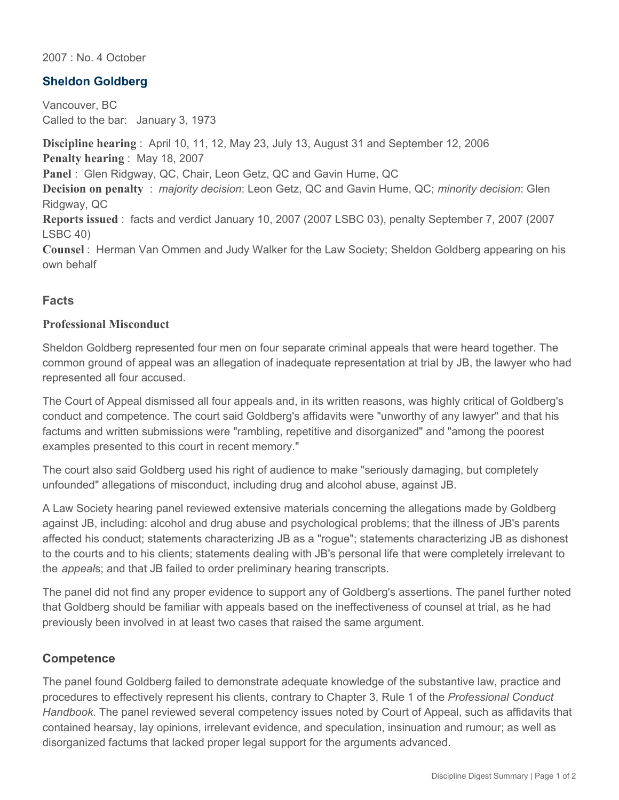2007 : No. 4 October

## **Sheldon Goldberg**

Vancouver, BC Called to the bar: January 3, 1973

**Discipline hearing** : April 10, 11, 12, May 23, July 13, August 31 and September 12, 2006 **Penalty hearing** : May 18, 2007 **Panel** : Glen Ridgway, QC, Chair, Leon Getz, QC and Gavin Hume, QC **Decision on penalty** : *majority decision*: Leon Getz, QC and Gavin Hume, QC; *minority decision*: Glen Ridgway, QC **Reports issued** : facts and verdict January 10, 2007 (2007 LSBC 03), penalty September 7, 2007 (2007 LSBC 40) **Counsel** : Herman Van Ommen and Judy Walker for the Law Society; Sheldon Goldberg appearing on his own behalf

## **Facts**

#### **Professional Misconduct**

Sheldon Goldberg represented four men on four separate criminal appeals that were heard together. The common ground of appeal was an allegation of inadequate representation at trial by JB, the lawyer who had represented all four accused.

The Court of Appeal dismissed all four appeals and, in its written reasons, was highly critical of Goldberg's conduct and competence. The court said Goldberg's affidavits were "unworthy of any lawyer" and that his factums and written submissions were "rambling, repetitive and disorganized" and "among the poorest examples presented to this court in recent memory."

The court also said Goldberg used his right of audience to make "seriously damaging, but completely unfounded" allegations of misconduct, including drug and alcohol abuse, against JB.

A Law Society hearing panel reviewed extensive materials concerning the allegations made by Goldberg against JB, including: alcohol and drug abuse and psychological problems; that the illness of JB's parents affected his conduct; statements characterizing JB as a "rogue"; statements characterizing JB as dishonest to the courts and to his clients; statements dealing with JB's personal life that were completely irrelevant to the *appeal*s; and that JB failed to order preliminary hearing transcripts.

The panel did not find any proper evidence to support any of Goldberg's assertions. The panel further noted that Goldberg should be familiar with appeals based on the ineffectiveness of counsel at trial, as he had previously been involved in at least two cases that raised the same argument.

#### **Competence**

The panel found Goldberg failed to demonstrate adequate knowledge of the substantive law, practice and procedures to effectively represent his clients, contrary to Chapter 3, Rule 1 of the *Professional Conduct Handbook*. The panel reviewed several competency issues noted by Court of Appeal, such as affidavits that contained hearsay, lay opinions, irrelevant evidence, and speculation, insinuation and rumour; as well as disorganized factums that lacked proper legal support for the arguments advanced.